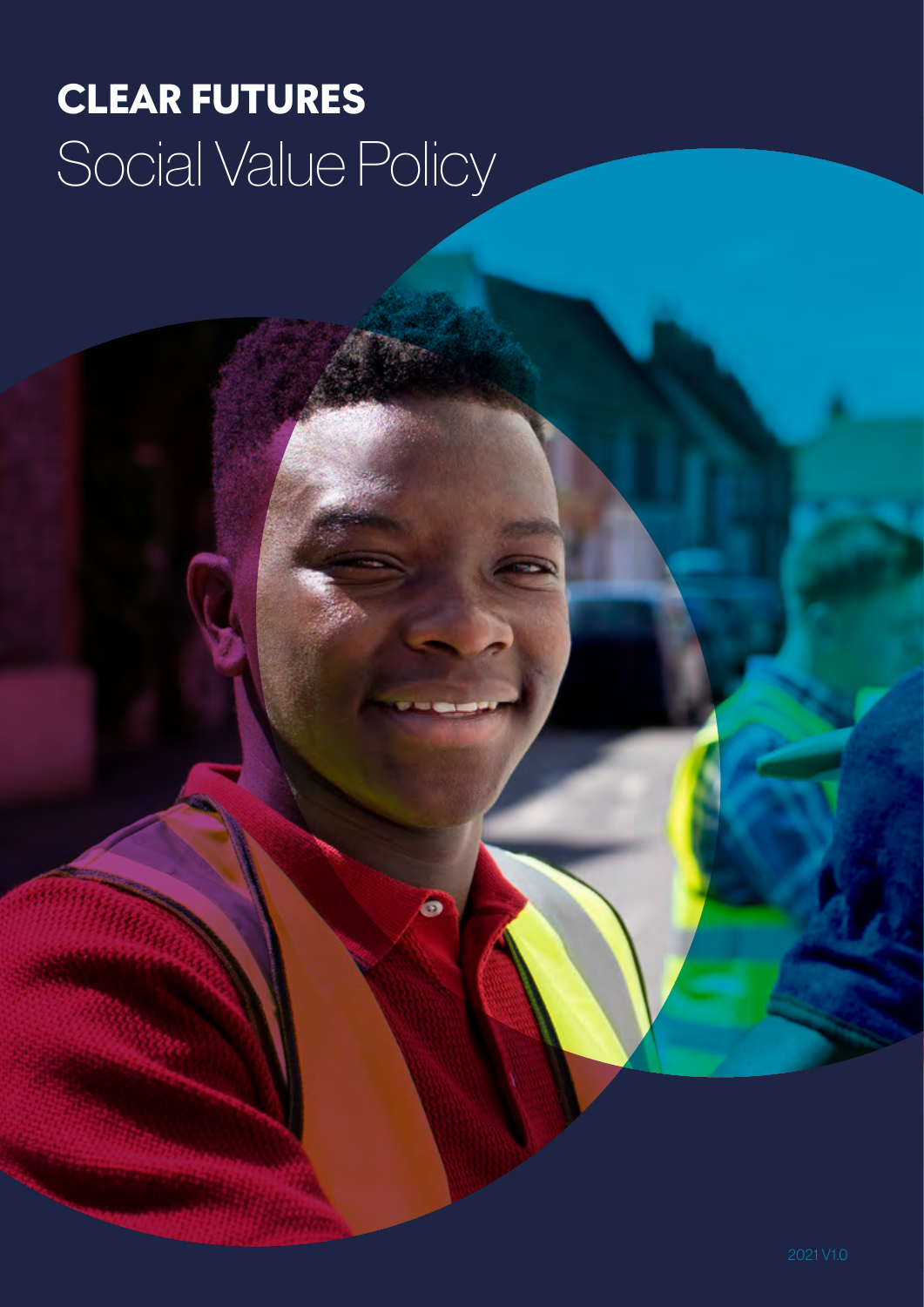# CLEAR FUTURES Social Value Policy

ó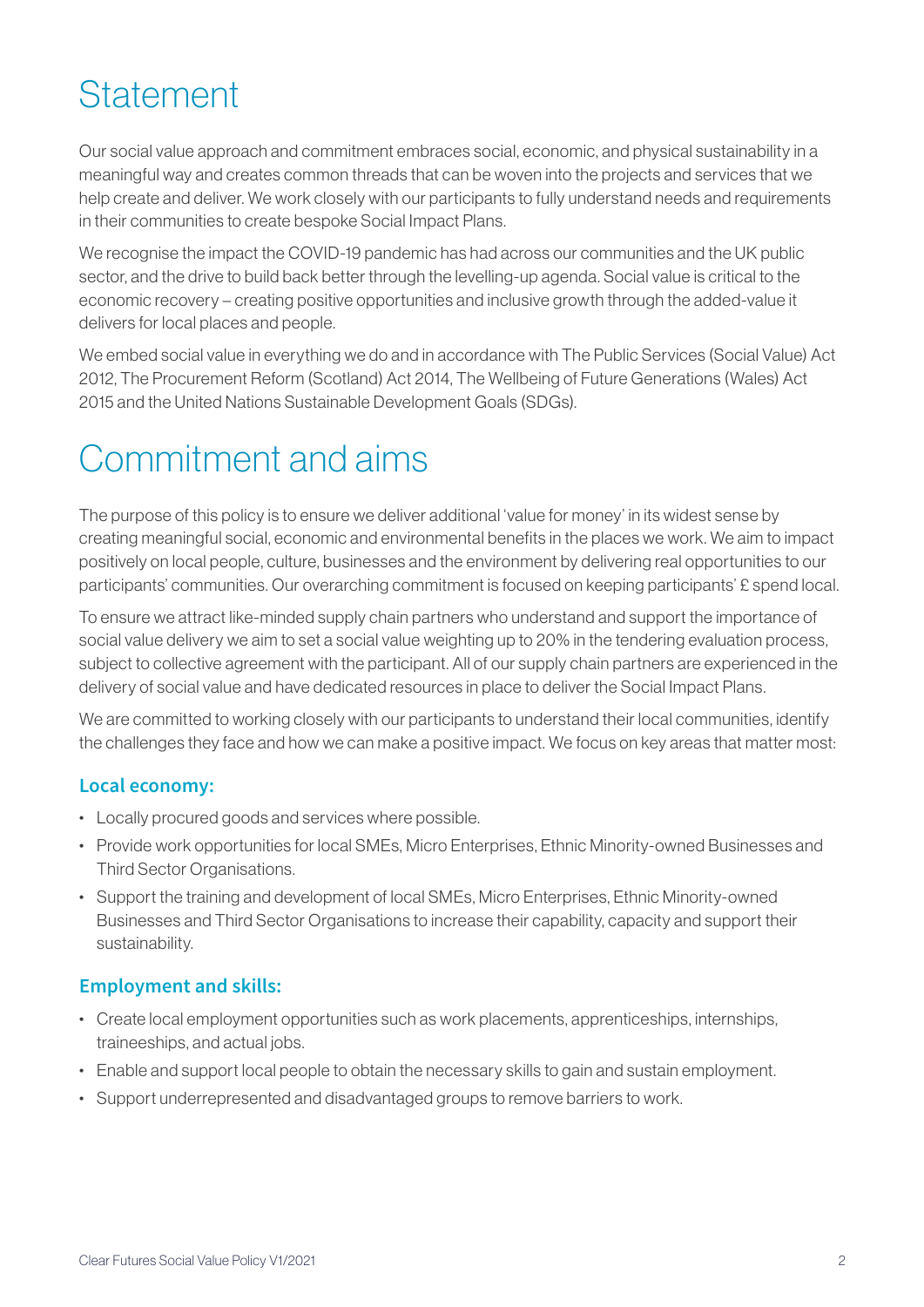### **Statement**

Our social value approach and commitment embraces social, economic, and physical sustainability in a meaningful way and creates common threads that can be woven into the projects and services that we help create and deliver. We work closely with our participants to fully understand needs and requirements in their communities to create bespoke Social Impact Plans.

We recognise the impact the COVID-19 pandemic has had across our communities and the UK public sector, and the drive to build back better through the levelling-up agenda. Social value is critical to the economic recovery – creating positive opportunities and inclusive growth through the added-value it delivers for local places and people.

We embed social value in everything we do and in accordance with The Public Services (Social Value) Act 2012, The Procurement Reform (Scotland) Act 2014, The Wellbeing of Future Generations (Wales) Act 2015 and the United Nations Sustainable Development Goals (SDGs).

### Commitment and aims

The purpose of this policy is to ensure we deliver additional 'value for money' in its widest sense by creating meaningful social, economic and environmental benefits in the places we work. We aim to impact positively on local people, culture, businesses and the environment by delivering real opportunities to our participants' communities. Our overarching commitment is focused on keeping participants' £ spend local.

To ensure we attract like-minded supply chain partners who understand and support the importance of social value delivery we aim to set a social value weighting up to 20% in the tendering evaluation process, subject to collective agreement with the participant. All of our supply chain partners are experienced in the delivery of social value and have dedicated resources in place to deliver the Social Impact Plans.

We are committed to working closely with our participants to understand their local communities, identify the challenges they face and how we can make a positive impact. We focus on key areas that matter most:

### **Local economy:**

- Locally procured goods and services where possible.
- Provide work opportunities for local SMEs, Micro Enterprises, Ethnic Minority-owned Businesses and Third Sector Organisations.
- Support the training and development of local SMEs, Micro Enterprises, Ethnic Minority-owned Businesses and Third Sector Organisations to increase their capability, capacity and support their sustainability.

### **Employment and skills:**

- Create local employment opportunities such as work placements, apprenticeships, internships, traineeships, and actual jobs.
- Enable and support local people to obtain the necessary skills to gain and sustain employment.
- Support underrepresented and disadvantaged groups to remove barriers to work.